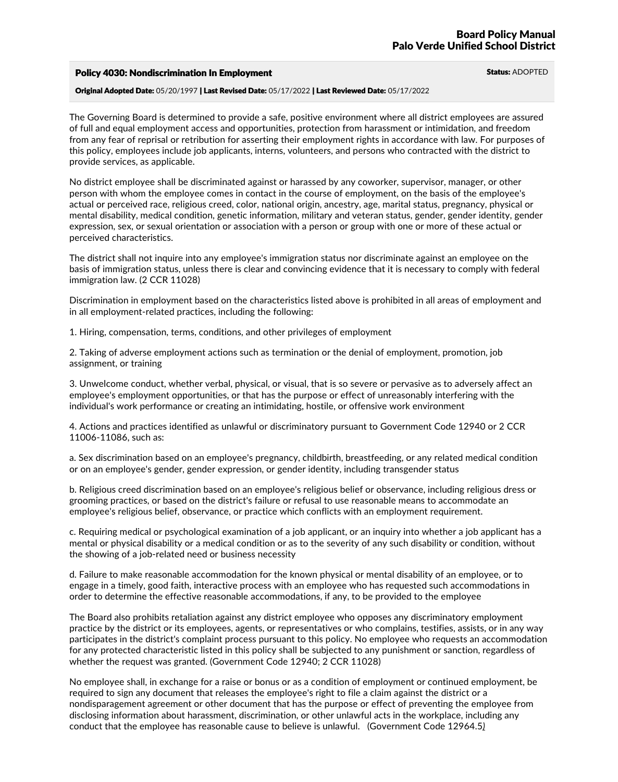## Policy 4030: Nondiscrimination In Employment **Status: ADOPTED** Status: ADOPTED

Original Adopted Date: 05/20/1997 | Last Revised Date: 05/17/2022 | Last Reviewed Date: 05/17/2022

The Governing Board is determined to provide a safe, positive environment where all district employees are assured of full and equal employment access and opportunities, protection from harassment or intimidation, and freedom from any fear of reprisal or retribution for asserting their employment rights in accordance with law. For purposes of this policy, employees include job applicants, interns, volunteers, and persons who contracted with the district to provide services, as applicable.

No district employee shall be discriminated against or harassed by any coworker, supervisor, manager, or other person with whom the employee comes in contact in the course of employment, on the basis of the employee's actual or perceived race, religious creed, color, national origin, ancestry, age, marital status, pregnancy, physical or mental disability, medical condition, genetic information, military and veteran status, gender, gender identity, gender expression, sex, or sexual orientation or association with a person or group with one or more of these actual or perceived characteristics.

The district shall not inquire into any employee's immigration status nor discriminate against an employee on the basis of immigration status, unless there is clear and convincing evidence that it is necessary to comply with federal immigration law. (2 CCR 11028)

Discrimination in employment based on the characteristics listed above is prohibited in all areas of employment and in all employment-related practices, including the following:

1. Hiring, compensation, terms, conditions, and other privileges of employment

2. Taking of adverse employment actions such as termination or the denial of employment, promotion, job assignment, or training

3. Unwelcome conduct, whether verbal, physical, or visual, that is so severe or pervasive as to adversely affect an employee's employment opportunities, or that has the purpose or effect of unreasonably interfering with the individual's work performance or creating an intimidating, hostile, or offensive work environment

4. Actions and practices identified as unlawful or discriminatory pursuant to Government Code 12940 or 2 CCR 11006-11086, such as:

a. Sex discrimination based on an employee's pregnancy, childbirth, breastfeeding, or any related medical condition or on an employee's gender, gender expression, or gender identity, including transgender status

b. Religious creed discrimination based on an employee's religious belief or observance, including religious dress or grooming practices, or based on the district's failure or refusal to use reasonable means to accommodate an employee's religious belief, observance, or practice which conflicts with an employment requirement.

c. Requiring medical or psychological examination of a job applicant, or an inquiry into whether a job applicant has a mental or physical disability or a medical condition or as to the severity of any such disability or condition, without the showing of a job-related need or business necessity

d. Failure to make reasonable accommodation for the known physical or mental disability of an employee, or to engage in a timely, good faith, interactive process with an employee who has requested such accommodations in order to determine the effective reasonable accommodations, if any, to be provided to the employee

The Board also prohibits retaliation against any district employee who opposes any discriminatory employment practice by the district or its employees, agents, or representatives or who complains, testifies, assists, or in any way participates in the district's complaint process pursuant to this policy. No employee who requests an accommodation for any protected characteristic listed in this policy shall be subjected to any punishment or sanction, regardless of whether the request was granted. (Government Code 12940; 2 CCR 11028)

No employee shall, in exchange for a raise or bonus or as a condition of employment or continued employment, be required to sign any document that releases the employee's right to file a claim against the district or a nondisparagement agreement or other document that has the purpose or effect of preventing the employee from disclosing information about harassment, discrimination, or other unlawful acts in the workplace, including any conduct that the employee has reasonable cause to believe is unlawful. (Government Code 12964.5*)*